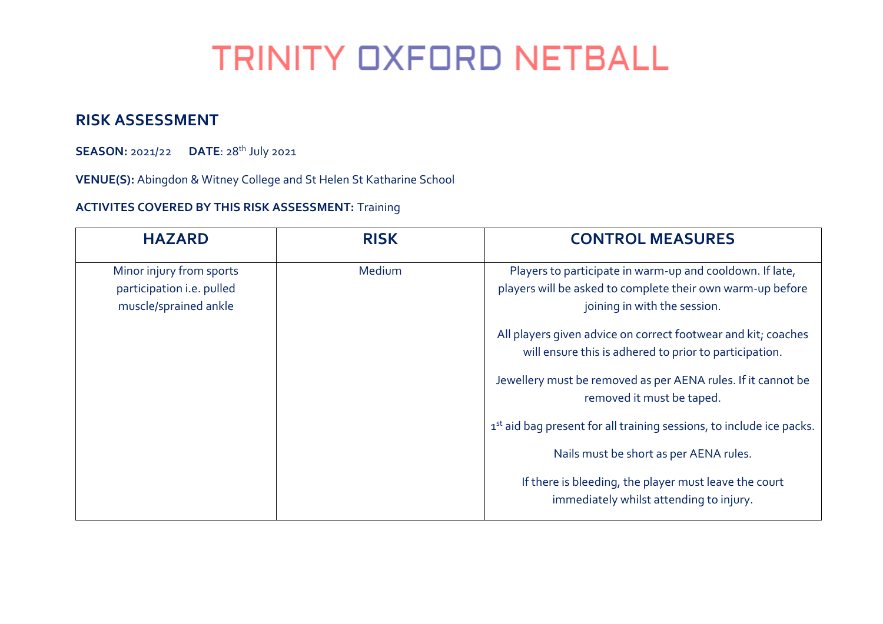## **TRINITY OXFORD NETBALL**

## **RISK ASSESSMENT**

**SEASON:** 2021/22 **DATE**: 28th July 2021

**VENUE(S):** Abingdon & Witney College and St Helen St Katharine School

## **ACTIVITES COVERED BY THIS RISK ASSESSMENT:** Training

| <b>HAZARD</b>                                                                  | <b>RISK</b> | <b>CONTROL MEASURES</b>                                                                                                                                |
|--------------------------------------------------------------------------------|-------------|--------------------------------------------------------------------------------------------------------------------------------------------------------|
| Minor injury from sports<br>participation i.e. pulled<br>muscle/sprained ankle | Medium      | Players to participate in warm-up and cooldown. If late,<br>players will be asked to complete their own warm-up before<br>joining in with the session. |
|                                                                                |             | All players given advice on correct footwear and kit; coaches<br>will ensure this is adhered to prior to participation.                                |
|                                                                                |             | Jewellery must be removed as per AENA rules. If it cannot be<br>removed it must be taped.                                                              |
|                                                                                |             | 1st aid bag present for all training sessions, to include ice packs.                                                                                   |
|                                                                                |             | Nails must be short as per AENA rules.                                                                                                                 |
|                                                                                |             | If there is bleeding, the player must leave the court<br>immediately whilst attending to injury.                                                       |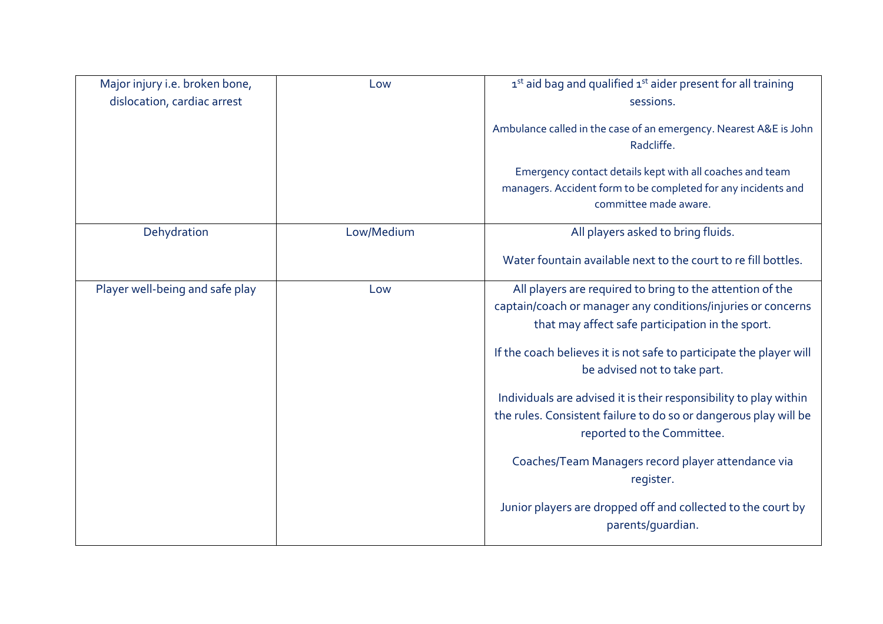| Major injury i.e. broken bone,<br>dislocation, cardiac arrest | Low        | 1st aid bag and qualified 1st aider present for all training<br>sessions.<br>Ambulance called in the case of an emergency. Nearest A&E is John<br>Radcliffe.<br>Emergency contact details kept with all coaches and team<br>managers. Accident form to be completed for any incidents and<br>committee made aware.                                                                                                                                                                                                                                                                                                  |
|---------------------------------------------------------------|------------|---------------------------------------------------------------------------------------------------------------------------------------------------------------------------------------------------------------------------------------------------------------------------------------------------------------------------------------------------------------------------------------------------------------------------------------------------------------------------------------------------------------------------------------------------------------------------------------------------------------------|
| Dehydration                                                   | Low/Medium | All players asked to bring fluids.<br>Water fountain available next to the court to re fill bottles.                                                                                                                                                                                                                                                                                                                                                                                                                                                                                                                |
| Player well-being and safe play                               | Low        | All players are required to bring to the attention of the<br>captain/coach or manager any conditions/injuries or concerns<br>that may affect safe participation in the sport.<br>If the coach believes it is not safe to participate the player will<br>be advised not to take part.<br>Individuals are advised it is their responsibility to play within<br>the rules. Consistent failure to do so or dangerous play will be<br>reported to the Committee.<br>Coaches/Team Managers record player attendance via<br>register.<br>Junior players are dropped off and collected to the court by<br>parents/quardian. |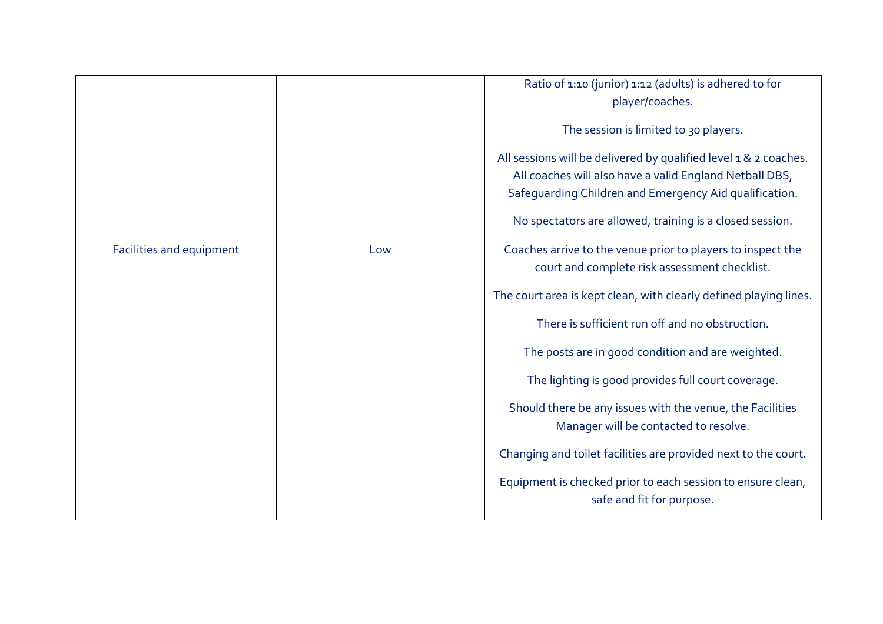|                          |     | Ratio of 1:10 (junior) 1:12 (adults) is adhered to for<br>player/coaches.<br>The session is limited to 30 players.<br>All sessions will be delivered by qualified level 1 & 2 coaches.<br>All coaches will also have a valid England Netball DBS,<br>Safeguarding Children and Emergency Aid qualification.<br>No spectators are allowed, training is a closed session.                                                                                                                                                                                                                                             |
|--------------------------|-----|---------------------------------------------------------------------------------------------------------------------------------------------------------------------------------------------------------------------------------------------------------------------------------------------------------------------------------------------------------------------------------------------------------------------------------------------------------------------------------------------------------------------------------------------------------------------------------------------------------------------|
| Facilities and equipment | Low | Coaches arrive to the venue prior to players to inspect the<br>court and complete risk assessment checklist.<br>The court area is kept clean, with clearly defined playing lines.<br>There is sufficient run off and no obstruction.<br>The posts are in good condition and are weighted.<br>The lighting is good provides full court coverage.<br>Should there be any issues with the venue, the Facilities<br>Manager will be contacted to resolve.<br>Changing and toilet facilities are provided next to the court.<br>Equipment is checked prior to each session to ensure clean,<br>safe and fit for purpose. |